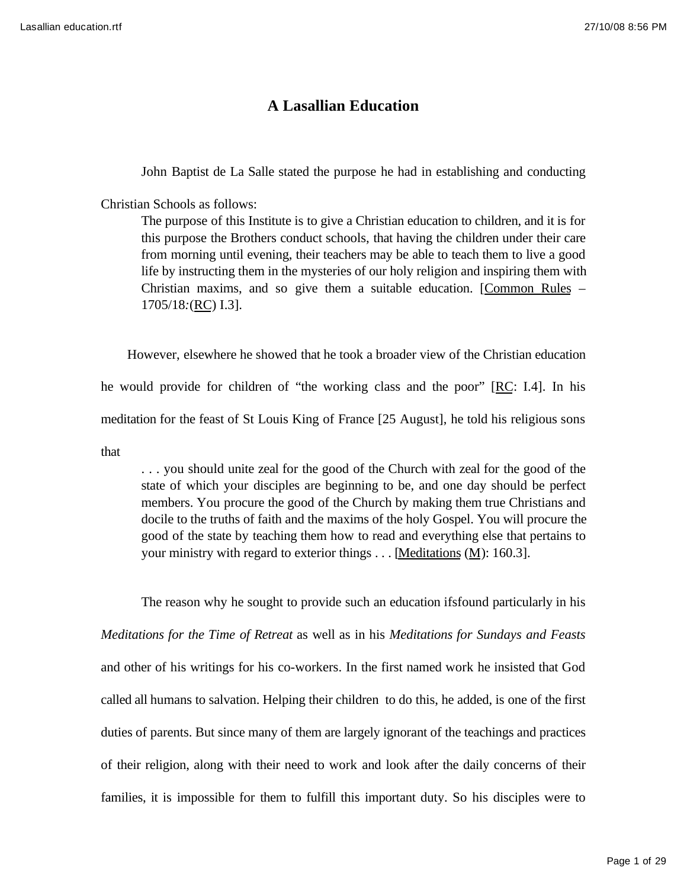## **A Lasallian Education**

John Baptist de La Salle stated the purpose he had in establishing and conducting

Christian Schools as follows:

The purpose of this Institute is to give a Christian education to children, and it is for this purpose the Brothers conduct schools, that having the children under their care from morning until evening, their teachers may be able to teach them to live a good life by instructing them in the mysteries of our holy religion and inspiring them with Christian maxims, and so give them a suitable education. [Common Rules *–*  1705/18*:*(RC) I.3].

 However, elsewhere he showed that he took a broader view of the Christian education he would provide for children of "the working class and the poor" [RC: I.4]. In his meditation for the feast of St Louis King of France [25 August], he told his religious sons

that

. . . you should unite zeal for the good of the Church with zeal for the good of the state of which your disciples are beginning to be, and one day should be perfect members. You procure the good of the Church by making them true Christians and docile to the truths of faith and the maxims of the holy Gospel. You will procure the good of the state by teaching them how to read and everything else that pertains to your ministry with regard to exterior things  $\dots$  [Meditations (M): 160.3].

The reason why he sought to provide such an education ifsfound particularly in his *Meditations for the Time of Retreat* as well as in his *Meditations for Sundays and Feasts* and other of his writings for his co-workers. In the first named work he insisted that God called all humans to salvation. Helping their children to do this, he added, is one of the first duties of parents. But since many of them are largely ignorant of the teachings and practices of their religion, along with their need to work and look after the daily concerns of their families, it is impossible for them to fulfill this important duty. So his disciples were to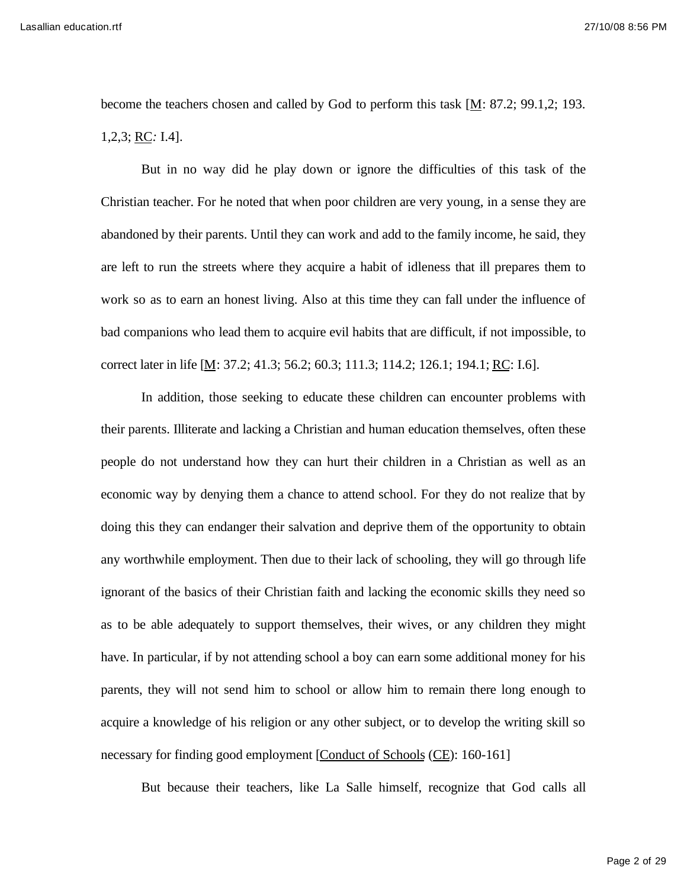Lasallian education.rtf 27/10/08 8:56 PM

become the teachers chosen and called by God to perform this task  $[M: 87.2; 99.1,2; 193.$ 1,2,3; RC*:* I.4].

But in no way did he play down or ignore the difficulties of this task of the Christian teacher. For he noted that when poor children are very young, in a sense they are abandoned by their parents. Until they can work and add to the family income, he said, they are left to run the streets where they acquire a habit of idleness that ill prepares them to work so as to earn an honest living. Also at this time they can fall under the influence of bad companions who lead them to acquire evil habits that are difficult, if not impossible, to correct later in life [M: 37.2; 41.3; 56.2; 60.3; 111.3; 114.2; 126.1; 194.1; RC: I.6].

In addition, those seeking to educate these children can encounter problems with their parents. Illiterate and lacking a Christian and human education themselves, often these people do not understand how they can hurt their children in a Christian as well as an economic way by denying them a chance to attend school. For they do not realize that by doing this they can endanger their salvation and deprive them of the opportunity to obtain any worthwhile employment. Then due to their lack of schooling, they will go through life ignorant of the basics of their Christian faith and lacking the economic skills they need so as to be able adequately to support themselves, their wives, or any children they might have. In particular, if by not attending school a boy can earn some additional money for his parents, they will not send him to school or allow him to remain there long enough to acquire a knowledge of his religion or any other subject, or to develop the writing skill so necessary for finding good employment [Conduct of Schools (CE): 160-161]

But because their teachers, like La Salle himself, recognize that God calls all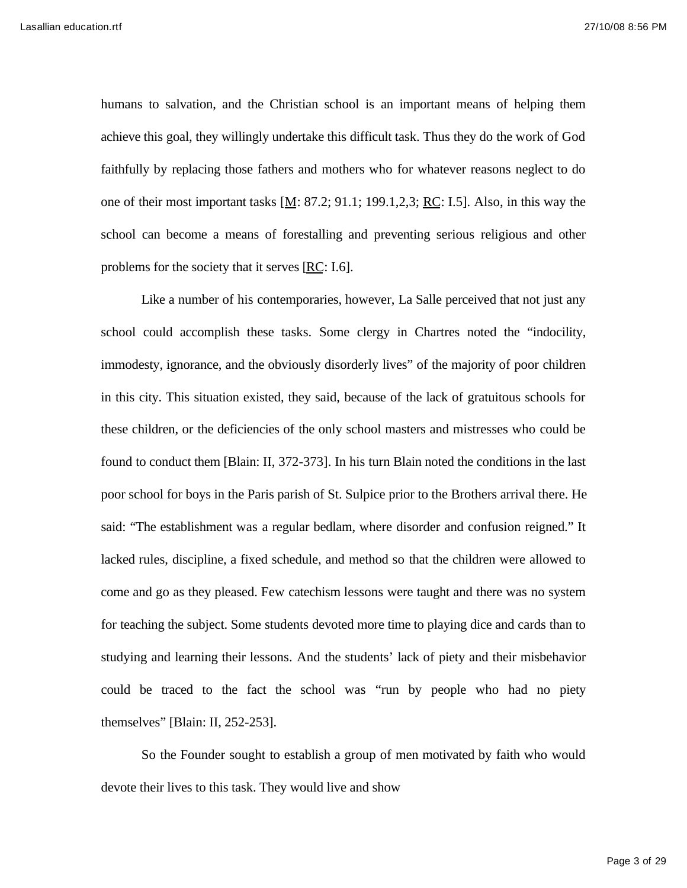humans to salvation, and the Christian school is an important means of helping them achieve this goal, they willingly undertake this difficult task. Thus they do the work of God faithfully by replacing those fathers and mothers who for whatever reasons neglect to do one of their most important tasks  $[M: 87.2; 91.1; 199.1, 2.3; RC: I.5]$ . Also, in this way the school can become a means of forestalling and preventing serious religious and other problems for the society that it serves [RC: I.6].

Like a number of his contemporaries, however, La Salle perceived that not just any school could accomplish these tasks. Some clergy in Chartres noted the "indocility, immodesty, ignorance, and the obviously disorderly lives" of the majority of poor children in this city. This situation existed, they said, because of the lack of gratuitous schools for these children, or the deficiencies of the only school masters and mistresses who could be found to conduct them [Blain: II, 372-373]. In his turn Blain noted the conditions in the last poor school for boys in the Paris parish of St. Sulpice prior to the Brothers arrival there. He said: "The establishment was a regular bedlam, where disorder and confusion reigned." It lacked rules, discipline, a fixed schedule, and method so that the children were allowed to come and go as they pleased. Few catechism lessons were taught and there was no system for teaching the subject. Some students devoted more time to playing dice and cards than to studying and learning their lessons. And the students' lack of piety and their misbehavior could be traced to the fact the school was "run by people who had no piety themselves" [Blain: II, 252-253].

So the Founder sought to establish a group of men motivated by faith who would devote their lives to this task. They would live and show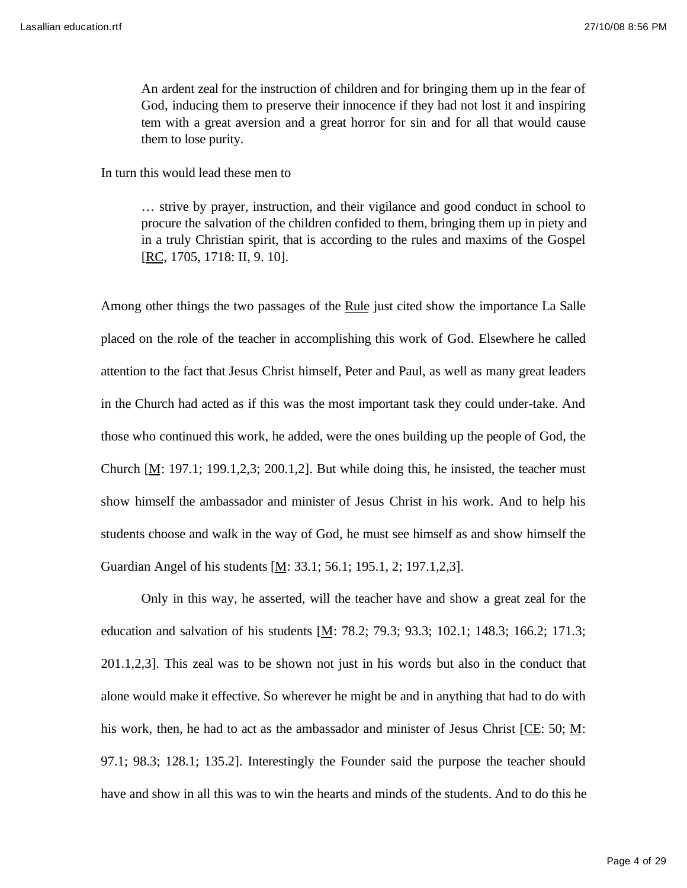An ardent zeal for the instruction of children and for bringing them up in the fear of God, inducing them to preserve their innocence if they had not lost it and inspiring tem with a great aversion and a great horror for sin and for all that would cause them to lose purity.

In turn this would lead these men to

… strive by prayer, instruction, and their vigilance and good conduct in school to procure the salvation of the children confided to them, bringing them up in piety and in a truly Christian spirit, that is according to the rules and maxims of the Gospel [RC, 1705, 1718: II, 9. 10].

Among other things the two passages of the Rule just cited show the importance La Salle placed on the role of the teacher in accomplishing this work of God. Elsewhere he called attention to the fact that Jesus Christ himself, Peter and Paul, as well as many great leaders in the Church had acted as if this was the most important task they could under-take. And those who continued this work, he added, were the ones building up the people of God, the Church  $[M: 197.1; 199.1, 2, 3; 200.1, 2]$ . But while doing this, he insisted, the teacher must show himself the ambassador and minister of Jesus Christ in his work. And to help his students choose and walk in the way of God, he must see himself as and show himself the Guardian Angel of his students [M: 33.1; 56.1; 195.1, 2; 197.1,2,3].

Only in this way, he asserted, will the teacher have and show a great zeal for the education and salvation of his students  $[M: 78.2; 79.3; 93.3; 102.1; 148.3; 166.2; 171.3;$ 201.1,2,3]. This zeal was to be shown not just in his words but also in the conduct that alone would make it effective. So wherever he might be and in anything that had to do with his work, then, he had to act as the ambassador and minister of Jesus Christ [CE: 50; M: 97.1; 98.3; 128.1; 135.2]. Interestingly the Founder said the purpose the teacher should have and show in all this was to win the hearts and minds of the students. And to do this he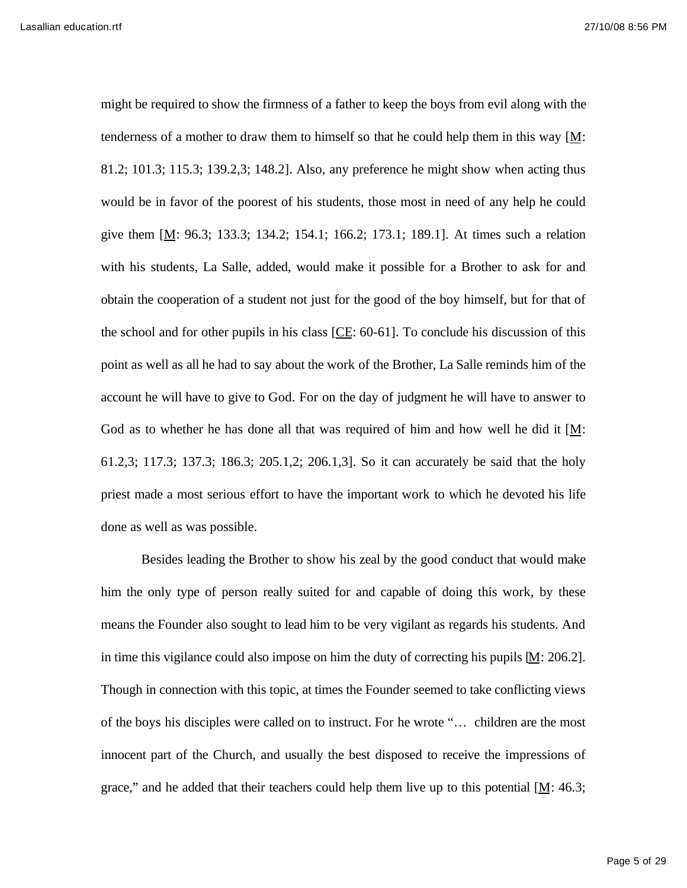might be required to show the firmness of a father to keep the boys from evil along with the tenderness of a mother to draw them to himself so that he could help them in this way [M: 81.2; 101.3; 115.3; 139.2,3; 148.2]. Also, any preference he might show when acting thus would be in favor of the poorest of his students, those most in need of any help he could give them  $[M: 96.3; 133.3; 134.2; 154.1; 166.2; 173.1; 189.1]$ . At times such a relation with his students, La Salle, added, would make it possible for a Brother to ask for and obtain the cooperation of a student not just for the good of the boy himself, but for that of the school and for other pupils in his class  $[CE: 60-61]$ . To conclude his discussion of this point as well as all he had to say about the work of the Brother, La Salle reminds him of the account he will have to give to God. For on the day of judgment he will have to answer to God as to whether he has done all that was required of him and how well he did it [M: 61.2,3; 117.3; 137.3; 186.3; 205.1,2; 206.1,3]. So it can accurately be said that the holy priest made a most serious effort to have the important work to which he devoted his life done as well as was possible.

Besides leading the Brother to show his zeal by the good conduct that would make him the only type of person really suited for and capable of doing this work, by these means the Founder also sought to lead him to be very vigilant as regards his students. And in time this vigilance could also impose on him the duty of correcting his pupils [M: 206.2]. Though in connection with this topic, at times the Founder seemed to take conflicting views of the boys his disciples were called on to instruct. For he wrote "… children are the most innocent part of the Church, and usually the best disposed to receive the impressions of grace," and he added that their teachers could help them live up to this potential  $[M: 46.3;$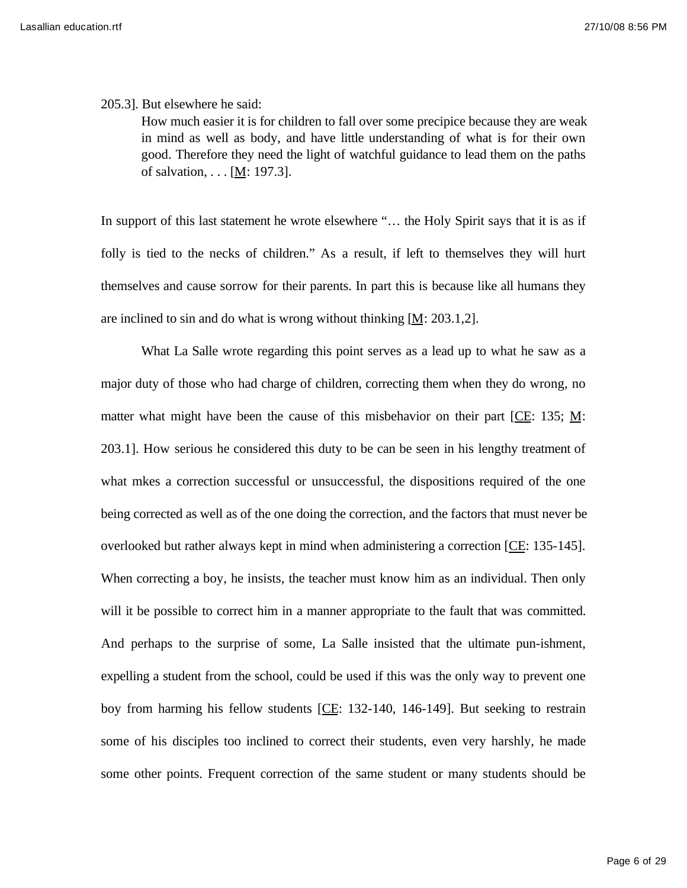205.3]. But elsewhere he said:

How much easier it is for children to fall over some precipice because they are weak in mind as well as body, and have little understanding of what is for their own good. Therefore they need the light of watchful guidance to lead them on the paths of salvation, . . . [M: 197.3].

In support of this last statement he wrote elsewhere "... the Holy Spirit says that it is as if folly is tied to the necks of children." As a result, if left to themselves they will hurt themselves and cause sorrow for their parents. In part this is because like all humans they are inclined to sin and do what is wrong without thinking  $[M: 203.1,2]$ .

What La Salle wrote regarding this point serves as a lead up to what he saw as a major duty of those who had charge of children, correcting them when they do wrong, no matter what might have been the cause of this misbehavior on their part [CE: 135;  $M$ : 203.1]. How serious he considered this duty to be can be seen in his lengthy treatment of what mkes a correction successful or unsuccessful, the dispositions required of the one being corrected as well as of the one doing the correction, and the factors that must never be overlooked but rather always kept in mind when administering a correction [CE: 135-145]. When correcting a boy, he insists, the teacher must know him as an individual. Then only will it be possible to correct him in a manner appropriate to the fault that was committed. And perhaps to the surprise of some, La Salle insisted that the ultimate pun-ishment, expelling a student from the school, could be used if this was the only way to prevent one boy from harming his fellow students [CE: 132-140, 146-149]. But seeking to restrain some of his disciples too inclined to correct their students, even very harshly, he made some other points. Frequent correction of the same student or many students should be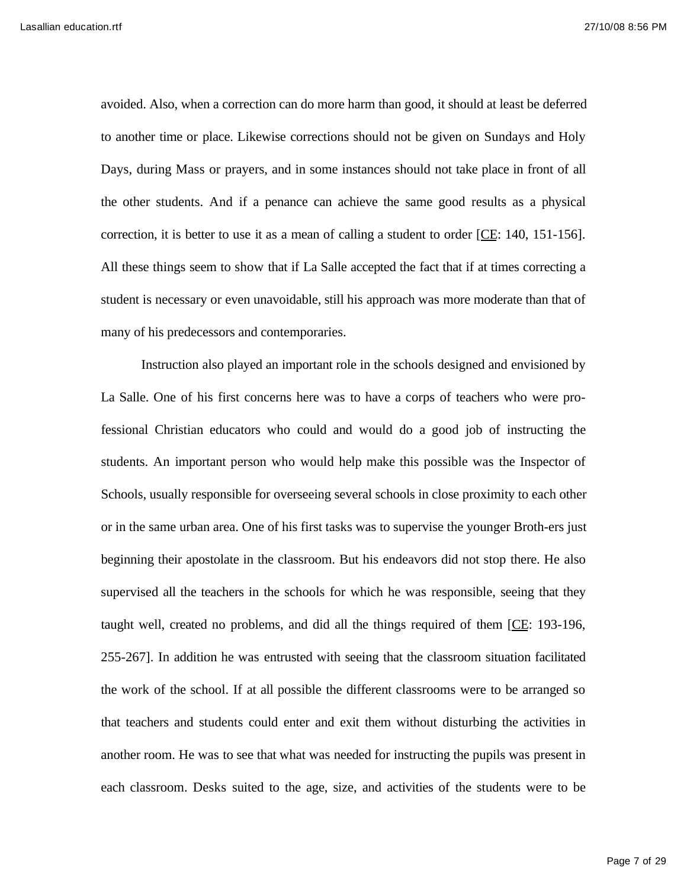avoided. Also, when a correction can do more harm than good, it should at least be deferred to another time or place. Likewise corrections should not be given on Sundays and Holy Days, during Mass or prayers, and in some instances should not take place in front of all the other students. And if a penance can achieve the same good results as a physical correction, it is better to use it as a mean of calling a student to order [CE: 140, 151-156]. All these things seem to show that if La Salle accepted the fact that if at times correcting a student is necessary or even unavoidable, still his approach was more moderate than that of many of his predecessors and contemporaries.

Instruction also played an important role in the schools designed and envisioned by La Salle. One of his first concerns here was to have a corps of teachers who were professional Christian educators who could and would do a good job of instructing the students. An important person who would help make this possible was the Inspector of Schools, usually responsible for overseeing several schools in close proximity to each other or in the same urban area. One of his first tasks was to supervise the younger Broth-ers just beginning their apostolate in the classroom. But his endeavors did not stop there. He also supervised all the teachers in the schools for which he was responsible, seeing that they taught well, created no problems, and did all the things required of them [CE: 193-196, 255-267]. In addition he was entrusted with seeing that the classroom situation facilitated the work of the school. If at all possible the different classrooms were to be arranged so that teachers and students could enter and exit them without disturbing the activities in another room. He was to see that what was needed for instructing the pupils was present in each classroom. Desks suited to the age, size, and activities of the students were to be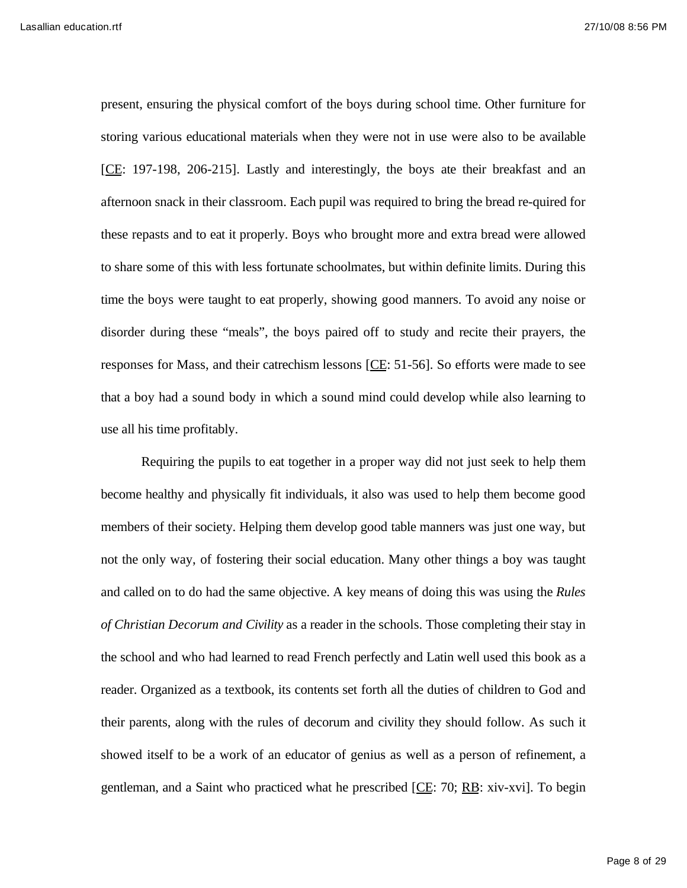present, ensuring the physical comfort of the boys during school time. Other furniture for storing various educational materials when they were not in use were also to be available [CE: 197-198, 206-215]. Lastly and interestingly, the boys ate their breakfast and an afternoon snack in their classroom. Each pupil was required to bring the bread re-quired for these repasts and to eat it properly. Boys who brought more and extra bread were allowed to share some of this with less fortunate schoolmates, but within definite limits. During this time the boys were taught to eat properly, showing good manners. To avoid any noise or disorder during these "meals", the boys paired off to study and recite their prayers, the responses for Mass, and their catrechism lessons [CE: 51-56]. So efforts were made to see that a boy had a sound body in which a sound mind could develop while also learning to use all his time profitably.

Requiring the pupils to eat together in a proper way did not just seek to help them become healthy and physically fit individuals, it also was used to help them become good members of their society. Helping them develop good table manners was just one way, but not the only way, of fostering their social education. Many other things a boy was taught and called on to do had the same objective. A key means of doing this was using the *Rules of Christian Decorum and Civility* as a reader in the schools. Those completing their stay in the school and who had learned to read French perfectly and Latin well used this book as a reader. Organized as a textbook, its contents set forth all the duties of children to God and their parents, along with the rules of decorum and civility they should follow. As such it showed itself to be a work of an educator of genius as well as a person of refinement, a gentleman, and a Saint who practiced what he prescribed [CE: 70; RB: xiv-xvi]. To begin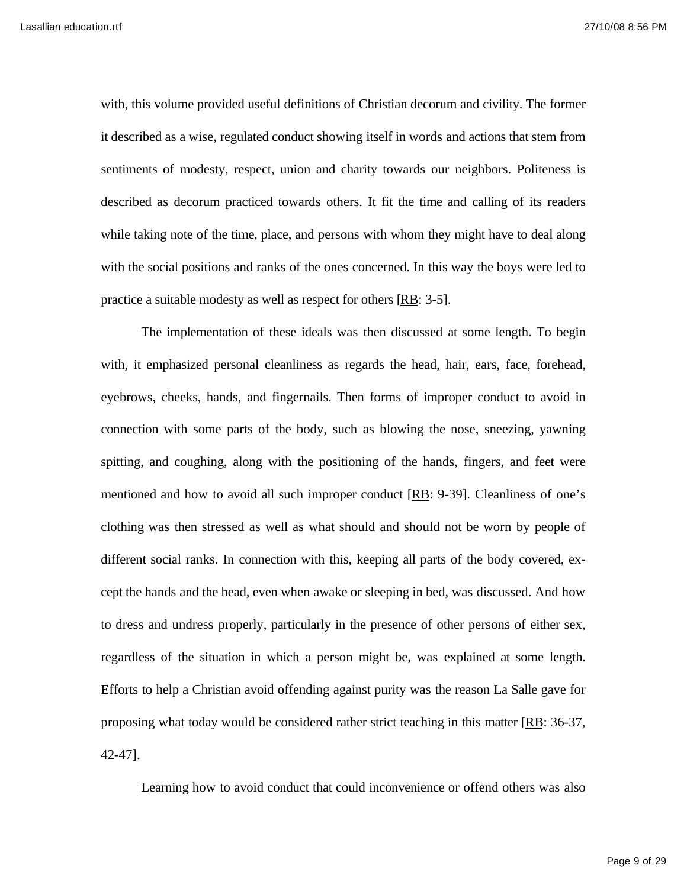with, this volume provided useful definitions of Christian decorum and civility. The former it described as a wise, regulated conduct showing itself in words and actions that stem from sentiments of modesty, respect, union and charity towards our neighbors. Politeness is described as decorum practiced towards others. It fit the time and calling of its readers while taking note of the time, place, and persons with whom they might have to deal along with the social positions and ranks of the ones concerned. In this way the boys were led to practice a suitable modesty as well as respect for others [RB: 3-5].

The implementation of these ideals was then discussed at some length. To begin with, it emphasized personal cleanliness as regards the head, hair, ears, face, forehead, eyebrows, cheeks, hands, and fingernails. Then forms of improper conduct to avoid in connection with some parts of the body, such as blowing the nose, sneezing, yawning spitting, and coughing, along with the positioning of the hands, fingers, and feet were mentioned and how to avoid all such improper conduct [RB: 9-39]. Cleanliness of one's clothing was then stressed as well as what should and should not be worn by people of different social ranks. In connection with this, keeping all parts of the body covered, except the hands and the head, even when awake or sleeping in bed, was discussed. And how to dress and undress properly, particularly in the presence of other persons of either sex, regardless of the situation in which a person might be, was explained at some length. Efforts to help a Christian avoid offending against purity was the reason La Salle gave for proposing what today would be considered rather strict teaching in this matter [RB: 36-37, 42-47].

Learning how to avoid conduct that could inconvenience or offend others was also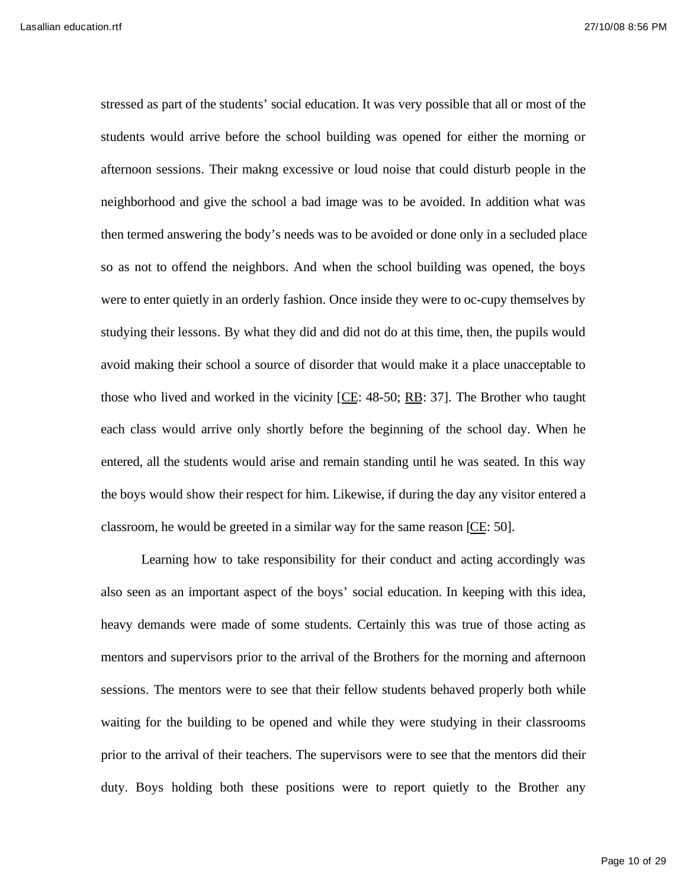stressed as part of the students' social education. It was very possible that all or most of the students would arrive before the school building was opened for either the morning or afternoon sessions. Their makng excessive or loud noise that could disturb people in the neighborhood and give the school a bad image was to be avoided. In addition what was then termed answering the body's needs was to be avoided or done only in a secluded place so as not to offend the neighbors. And when the school building was opened, the boys were to enter quietly in an orderly fashion. Once inside they were to oc-cupy themselves by studying their lessons. By what they did and did not do at this time, then, the pupils would avoid making their school a source of disorder that would make it a place unacceptable to those who lived and worked in the vicinity  $[CE: 48-50; RB: 37]$ . The Brother who taught each class would arrive only shortly before the beginning of the school day. When he entered, all the students would arise and remain standing until he was seated. In this way the boys would show their respect for him. Likewise, if during the day any visitor entered a classroom, he would be greeted in a similar way for the same reason [CE: 50].

Learning how to take responsibility for their conduct and acting accordingly was also seen as an important aspect of the boys' social education. In keeping with this idea, heavy demands were made of some students. Certainly this was true of those acting as mentors and supervisors prior to the arrival of the Brothers for the morning and afternoon sessions. The mentors were to see that their fellow students behaved properly both while waiting for the building to be opened and while they were studying in their classrooms prior to the arrival of their teachers. The supervisors were to see that the mentors did their duty. Boys holding both these positions were to report quietly to the Brother any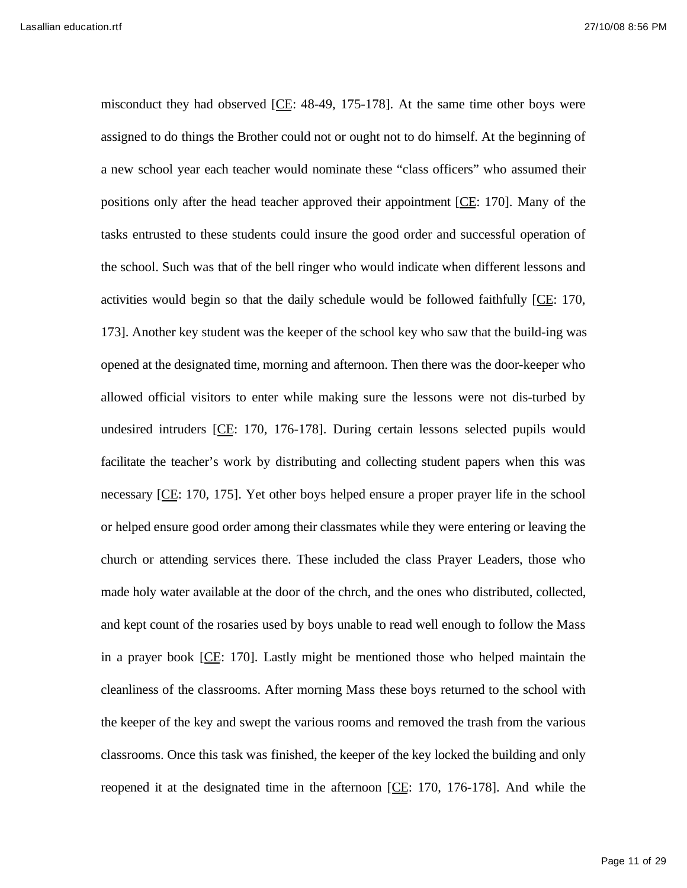misconduct they had observed [CE: 48-49, 175-178]. At the same time other boys were assigned to do things the Brother could not or ought not to do himself. At the beginning of a new school year each teacher would nominate these "class officers" who assumed their positions only after the head teacher approved their appointment [CE: 170]. Many of the tasks entrusted to these students could insure the good order and successful operation of the school. Such was that of the bell ringer who would indicate when different lessons and activities would begin so that the daily schedule would be followed faithfully [CE: 170, 173]. Another key student was the keeper of the school key who saw that the build-ing was opened at the designated time, morning and afternoon. Then there was the door-keeper who allowed official visitors to enter while making sure the lessons were not dis-turbed by undesired intruders [CE: 170, 176-178]. During certain lessons selected pupils would facilitate the teacher's work by distributing and collecting student papers when this was necessary [CE: 170, 175]. Yet other boys helped ensure a proper prayer life in the school or helped ensure good order among their classmates while they were entering or leaving the church or attending services there. These included the class Prayer Leaders, those who made holy water available at the door of the chrch, and the ones who distributed, collected, and kept count of the rosaries used by boys unable to read well enough to follow the Mass in a prayer book [CE: 170]. Lastly might be mentioned those who helped maintain the cleanliness of the classrooms. After morning Mass these boys returned to the school with the keeper of the key and swept the various rooms and removed the trash from the various classrooms. Once this task was finished, the keeper of the key locked the building and only reopened it at the designated time in the afternoon [CE: 170, 176-178]. And while the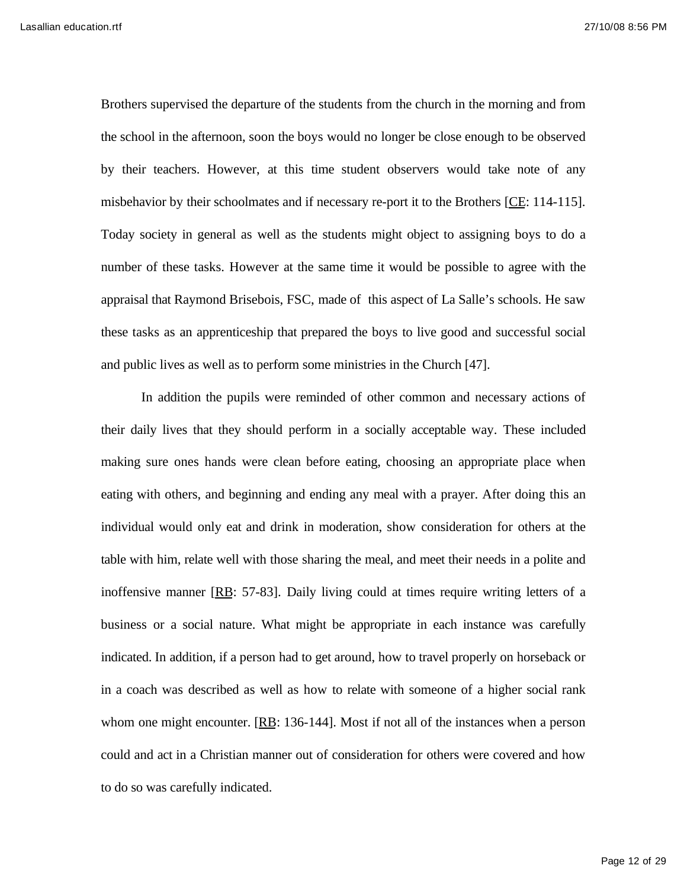Brothers supervised the departure of the students from the church in the morning and from the school in the afternoon, soon the boys would no longer be close enough to be observed by their teachers. However, at this time student observers would take note of any misbehavior by their schoolmates and if necessary re-port it to the Brothers [CE: 114-115]. Today society in general as well as the students might object to assigning boys to do a number of these tasks. However at the same time it would be possible to agree with the appraisal that Raymond Brisebois, FSC, made of this aspect of La Salle's schools. He saw these tasks as an apprenticeship that prepared the boys to live good and successful social and public lives as well as to perform some ministries in the Church [47].

In addition the pupils were reminded of other common and necessary actions of their daily lives that they should perform in a socially acceptable way. These included making sure ones hands were clean before eating, choosing an appropriate place when eating with others, and beginning and ending any meal with a prayer. After doing this an individual would only eat and drink in moderation, show consideration for others at the table with him, relate well with those sharing the meal, and meet their needs in a polite and inoffensive manner [RB: 57-83]. Daily living could at times require writing letters of a business or a social nature. What might be appropriate in each instance was carefully indicated. In addition, if a person had to get around, how to travel properly on horseback or in a coach was described as well as how to relate with someone of a higher social rank whom one might encounter. [RB: 136-144]. Most if not all of the instances when a person could and act in a Christian manner out of consideration for others were covered and how to do so was carefully indicated.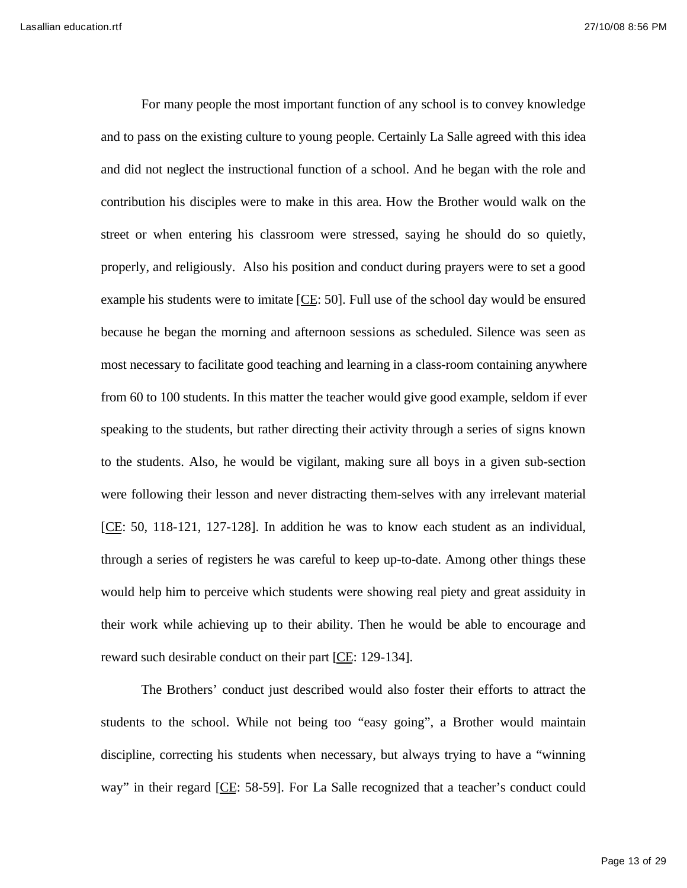For many people the most important function of any school is to convey knowledge and to pass on the existing culture to young people. Certainly La Salle agreed with this idea and did not neglect the instructional function of a school. And he began with the role and contribution his disciples were to make in this area. How the Brother would walk on the street or when entering his classroom were stressed, saying he should do so quietly, properly, and religiously. Also his position and conduct during prayers were to set a good example his students were to imitate [CE: 50]. Full use of the school day would be ensured because he began the morning and afternoon sessions as scheduled. Silence was seen as most necessary to facilitate good teaching and learning in a class-room containing anywhere from 60 to 100 students. In this matter the teacher would give good example, seldom if ever speaking to the students, but rather directing their activity through a series of signs known to the students. Also, he would be vigilant, making sure all boys in a given sub-section were following their lesson and never distracting them-selves with any irrelevant material [CE: 50, 118-121, 127-128]. In addition he was to know each student as an individual, through a series of registers he was careful to keep up-to-date. Among other things these would help him to perceive which students were showing real piety and great assiduity in their work while achieving up to their ability. Then he would be able to encourage and reward such desirable conduct on their part [CE: 129-134].

The Brothers' conduct just described would also foster their efforts to attract the students to the school. While not being too "easy going", a Brother would maintain discipline, correcting his students when necessary, but always trying to have a "winning way" in their regard [CE: 58-59]. For La Salle recognized that a teacher's conduct could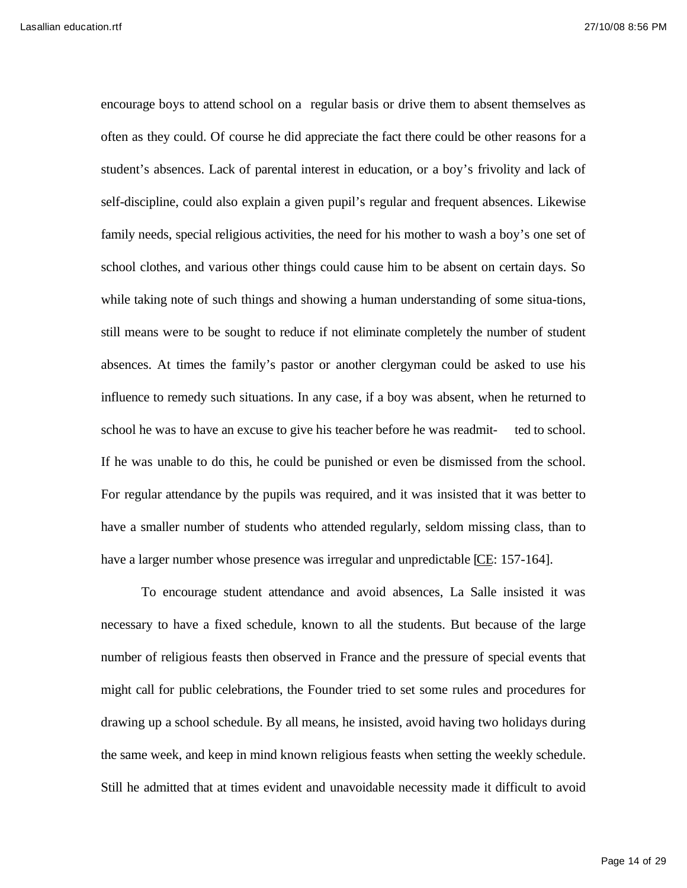encourage boys to attend school on a regular basis or drive them to absent themselves as often as they could. Of course he did appreciate the fact there could be other reasons for a student's absences. Lack of parental interest in education, or a boy's frivolity and lack of self-discipline, could also explain a given pupil's regular and frequent absences. Likewise family needs, special religious activities, the need for his mother to wash a boy's one set of school clothes, and various other things could cause him to be absent on certain days. So while taking note of such things and showing a human understanding of some situa-tions, still means were to be sought to reduce if not eliminate completely the number of student absences. At times the family's pastor or another clergyman could be asked to use his influence to remedy such situations. In any case, if a boy was absent, when he returned to school he was to have an excuse to give his teacher before he was readmit- ted to school. If he was unable to do this, he could be punished or even be dismissed from the school. For regular attendance by the pupils was required, and it was insisted that it was better to have a smaller number of students who attended regularly, seldom missing class, than to have a larger number whose presence was irregular and unpredictable [CE: 157-164].

To encourage student attendance and avoid absences, La Salle insisted it was necessary to have a fixed schedule, known to all the students. But because of the large number of religious feasts then observed in France and the pressure of special events that might call for public celebrations, the Founder tried to set some rules and procedures for drawing up a school schedule. By all means, he insisted, avoid having two holidays during the same week, and keep in mind known religious feasts when setting the weekly schedule. Still he admitted that at times evident and unavoidable necessity made it difficult to avoid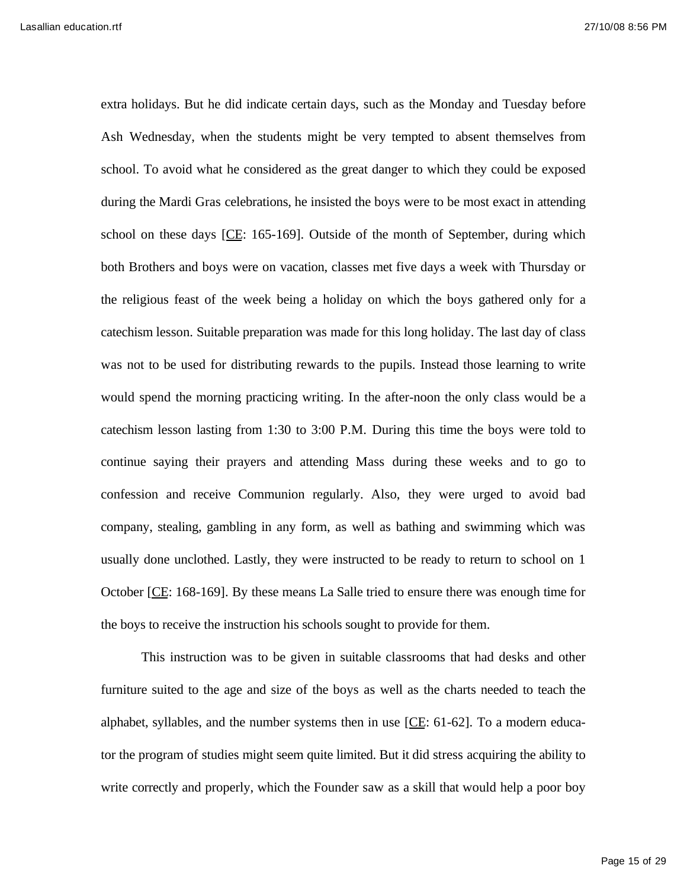extra holidays. But he did indicate certain days, such as the Monday and Tuesday before Ash Wednesday, when the students might be very tempted to absent themselves from school. To avoid what he considered as the great danger to which they could be exposed during the Mardi Gras celebrations, he insisted the boys were to be most exact in attending school on these days [CE: 165-169]. Outside of the month of September, during which both Brothers and boys were on vacation, classes met five days a week with Thursday or the religious feast of the week being a holiday on which the boys gathered only for a catechism lesson. Suitable preparation was made for this long holiday. The last day of class was not to be used for distributing rewards to the pupils. Instead those learning to write would spend the morning practicing writing. In the after-noon the only class would be a catechism lesson lasting from 1:30 to 3:00 P.M. During this time the boys were told to continue saying their prayers and attending Mass during these weeks and to go to confession and receive Communion regularly. Also, they were urged to avoid bad company, stealing, gambling in any form, as well as bathing and swimming which was usually done unclothed. Lastly, they were instructed to be ready to return to school on 1 October [CE: 168-169]. By these means La Salle tried to ensure there was enough time for the boys to receive the instruction his schools sought to provide for them.

This instruction was to be given in suitable classrooms that had desks and other furniture suited to the age and size of the boys as well as the charts needed to teach the alphabet, syllables, and the number systems then in use [CE: 61-62]. To a modern educator the program of studies might seem quite limited. But it did stress acquiring the ability to write correctly and properly, which the Founder saw as a skill that would help a poor boy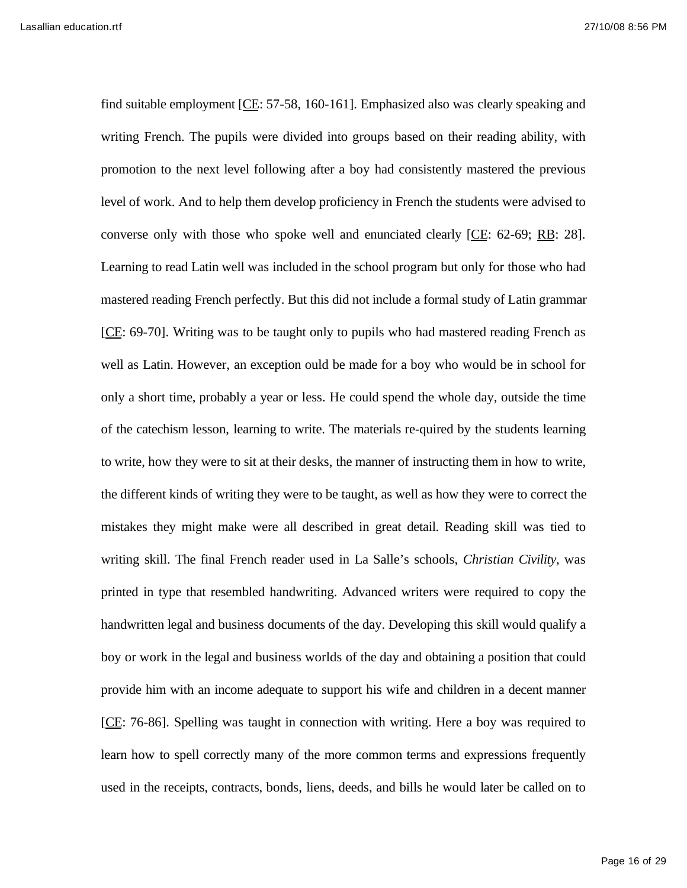find suitable employment [CE: 57-58, 160-161]. Emphasized also was clearly speaking and writing French. The pupils were divided into groups based on their reading ability, with promotion to the next level following after a boy had consistently mastered the previous level of work. And to help them develop proficiency in French the students were advised to converse only with those who spoke well and enunciated clearly [CE: 62-69; RB: 28]. Learning to read Latin well was included in the school program but only for those who had mastered reading French perfectly. But this did not include a formal study of Latin grammar [CE: 69-70]. Writing was to be taught only to pupils who had mastered reading French as well as Latin. However, an exception ould be made for a boy who would be in school for only a short time, probably a year or less. He could spend the whole day, outside the time of the catechism lesson, learning to write. The materials re-quired by the students learning to write, how they were to sit at their desks, the manner of instructing them in how to write, the different kinds of writing they were to be taught, as well as how they were to correct the mistakes they might make were all described in great detail. Reading skill was tied to writing skill. The final French reader used in La Salle's schools, *Christian Civility,* was printed in type that resembled handwriting. Advanced writers were required to copy the handwritten legal and business documents of the day. Developing this skill would qualify a boy or work in the legal and business worlds of the day and obtaining a position that could provide him with an income adequate to support his wife and children in a decent manner [CE: 76-86]. Spelling was taught in connection with writing. Here a boy was required to learn how to spell correctly many of the more common terms and expressions frequently used in the receipts, contracts, bonds, liens, deeds, and bills he would later be called on to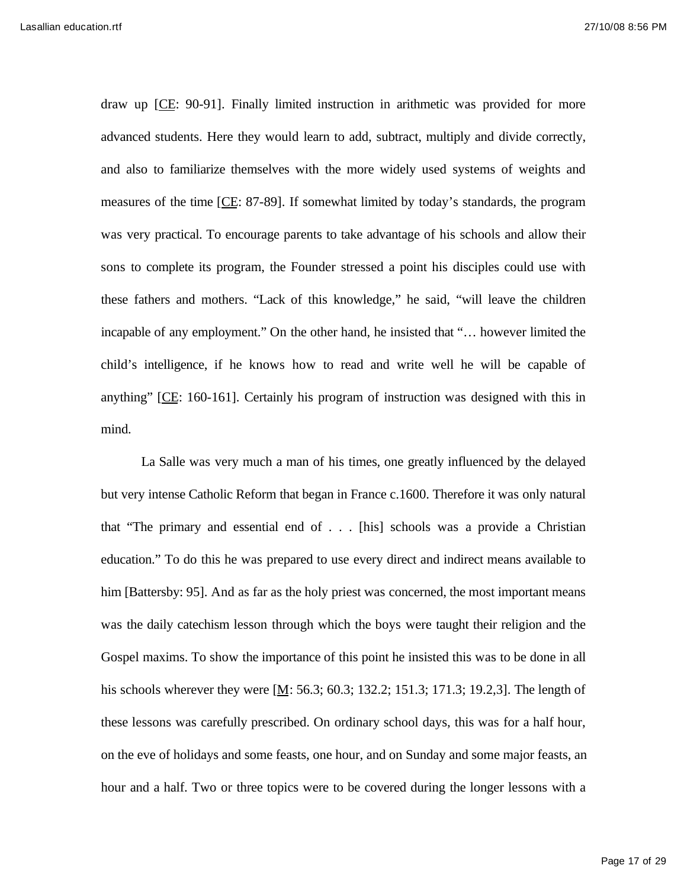draw up [CE: 90-91]. Finally limited instruction in arithmetic was provided for more advanced students. Here they would learn to add, subtract, multiply and divide correctly, and also to familiarize themselves with the more widely used systems of weights and measures of the time [CE: 87-89]. If somewhat limited by today's standards, the program was very practical. To encourage parents to take advantage of his schools and allow their sons to complete its program, the Founder stressed a point his disciples could use with these fathers and mothers. "Lack of this knowledge," he said, "will leave the children incapable of any employment." On the other hand, he insisted that "… however limited the child's intelligence, if he knows how to read and write well he will be capable of anything" [CE: 160-161]. Certainly his program of instruction was designed with this in mind.

La Salle was very much a man of his times, one greatly influenced by the delayed but very intense Catholic Reform that began in France c.1600. Therefore it was only natural that "The primary and essential end of . . . [his] schools was a provide a Christian education." To do this he was prepared to use every direct and indirect means available to him [Battersby: 95]. And as far as the holy priest was concerned, the most important means was the daily catechism lesson through which the boys were taught their religion and the Gospel maxims. To show the importance of this point he insisted this was to be done in all his schools wherever they were [M: 56.3; 60.3; 132.2; 151.3; 171.3; 19.2,3]. The length of these lessons was carefully prescribed. On ordinary school days, this was for a half hour, on the eve of holidays and some feasts, one hour, and on Sunday and some major feasts, an hour and a half. Two or three topics were to be covered during the longer lessons with a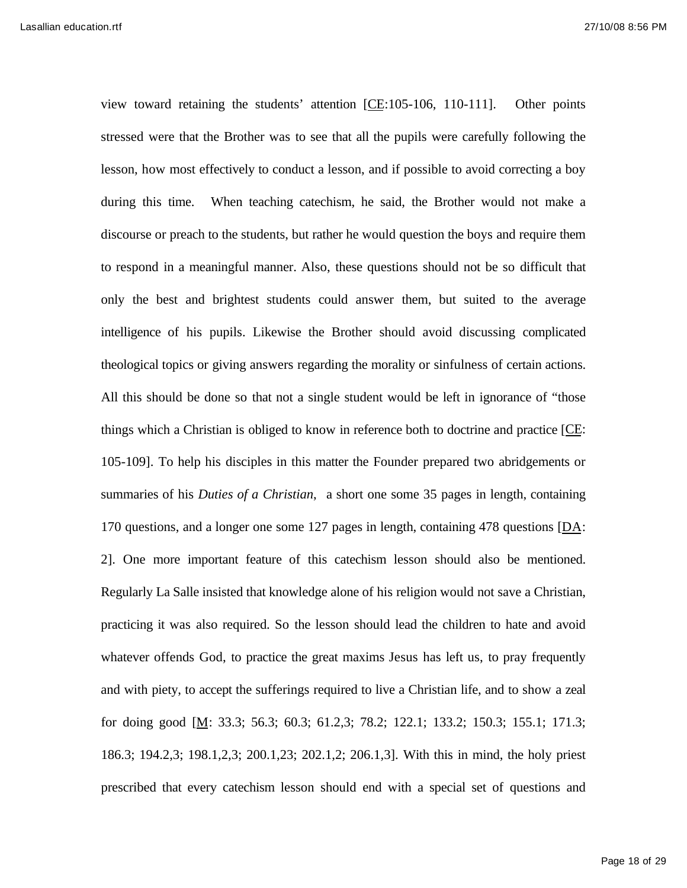view toward retaining the students' attention [CE:105-106, 110-111]. Other points stressed were that the Brother was to see that all the pupils were carefully following the lesson, how most effectively to conduct a lesson, and if possible to avoid correcting a boy during this time. When teaching catechism, he said, the Brother would not make a discourse or preach to the students, but rather he would question the boys and require them to respond in a meaningful manner. Also, these questions should not be so difficult that only the best and brightest students could answer them, but suited to the average intelligence of his pupils. Likewise the Brother should avoid discussing complicated theological topics or giving answers regarding the morality or sinfulness of certain actions. All this should be done so that not a single student would be left in ignorance of "those things which a Christian is obliged to know in reference both to doctrine and practice [CE: 105-109]. To help his disciples in this matter the Founder prepared two abridgements or summaries of his *Duties of a Christian*, a short one some 35 pages in length, containing 170 questions, and a longer one some 127 pages in length, containing 478 questions [DA: 2]. One more important feature of this catechism lesson should also be mentioned. Regularly La Salle insisted that knowledge alone of his religion would not save a Christian, practicing it was also required. So the lesson should lead the children to hate and avoid whatever offends God, to practice the great maxims Jesus has left us, to pray frequently and with piety, to accept the sufferings required to live a Christian life, and to show a zeal for doing good [M: 33.3; 56.3; 60.3; 61.2,3; 78.2; 122.1; 133.2; 150.3; 155.1; 171.3; 186.3; 194.2,3; 198.1,2,3; 200.1,23; 202.1,2; 206.1,3]. With this in mind, the holy priest prescribed that every catechism lesson should end with a special set of questions and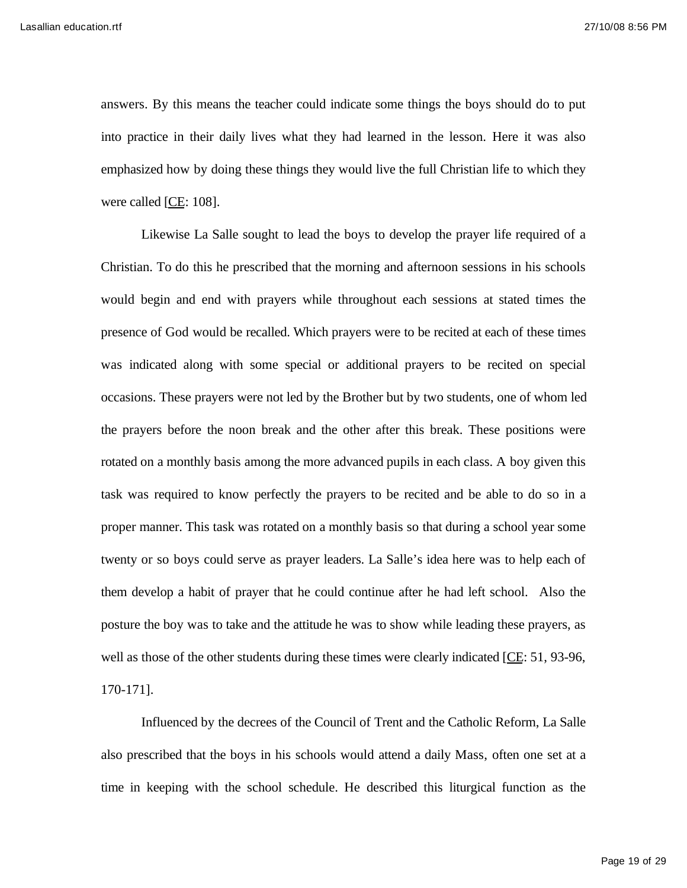answers. By this means the teacher could indicate some things the boys should do to put into practice in their daily lives what they had learned in the lesson. Here it was also emphasized how by doing these things they would live the full Christian life to which they were called [CE: 108].

Likewise La Salle sought to lead the boys to develop the prayer life required of a Christian. To do this he prescribed that the morning and afternoon sessions in his schools would begin and end with prayers while throughout each sessions at stated times the presence of God would be recalled. Which prayers were to be recited at each of these times was indicated along with some special or additional prayers to be recited on special occasions. These prayers were not led by the Brother but by two students, one of whom led the prayers before the noon break and the other after this break. These positions were rotated on a monthly basis among the more advanced pupils in each class. A boy given this task was required to know perfectly the prayers to be recited and be able to do so in a proper manner. This task was rotated on a monthly basis so that during a school year some twenty or so boys could serve as prayer leaders. La Salle's idea here was to help each of them develop a habit of prayer that he could continue after he had left school. Also the posture the boy was to take and the attitude he was to show while leading these prayers, as well as those of the other students during these times were clearly indicated [CE: 51, 93-96, 170-171].

Influenced by the decrees of the Council of Trent and the Catholic Reform, La Salle also prescribed that the boys in his schools would attend a daily Mass, often one set at a time in keeping with the school schedule. He described this liturgical function as the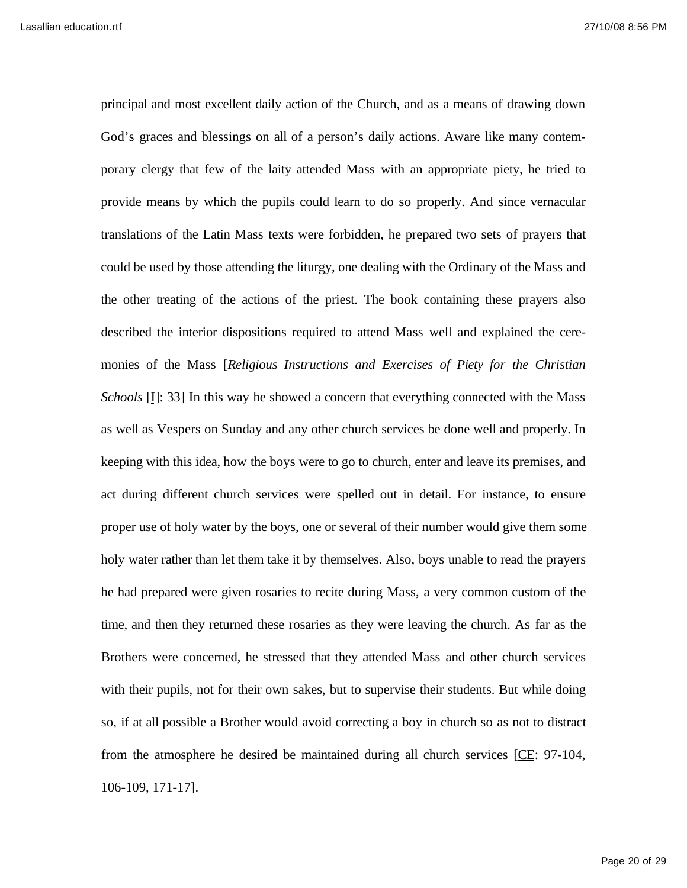principal and most excellent daily action of the Church, and as a means of drawing down God's graces and blessings on all of a person's daily actions. Aware like many contemporary clergy that few of the laity attended Mass with an appropriate piety, he tried to provide means by which the pupils could learn to do so properly. And since vernacular translations of the Latin Mass texts were forbidden, he prepared two sets of prayers that could be used by those attending the liturgy, one dealing with the Ordinary of the Mass and the other treating of the actions of the priest. The book containing these prayers also described the interior dispositions required to attend Mass well and explained the ceremonies of the Mass [*Religious Instructions and Exercises of Piety for the Christian Schools* [I]: 33] In this way he showed a concern that everything connected with the Mass as well as Vespers on Sunday and any other church services be done well and properly. In keeping with this idea, how the boys were to go to church, enter and leave its premises, and act during different church services were spelled out in detail. For instance, to ensure proper use of holy water by the boys, one or several of their number would give them some holy water rather than let them take it by themselves. Also, boys unable to read the prayers he had prepared were given rosaries to recite during Mass, a very common custom of the time, and then they returned these rosaries as they were leaving the church. As far as the Brothers were concerned, he stressed that they attended Mass and other church services with their pupils, not for their own sakes, but to supervise their students. But while doing so, if at all possible a Brother would avoid correcting a boy in church so as not to distract from the atmosphere he desired be maintained during all church services [CE: 97-104, 106-109, 171-17].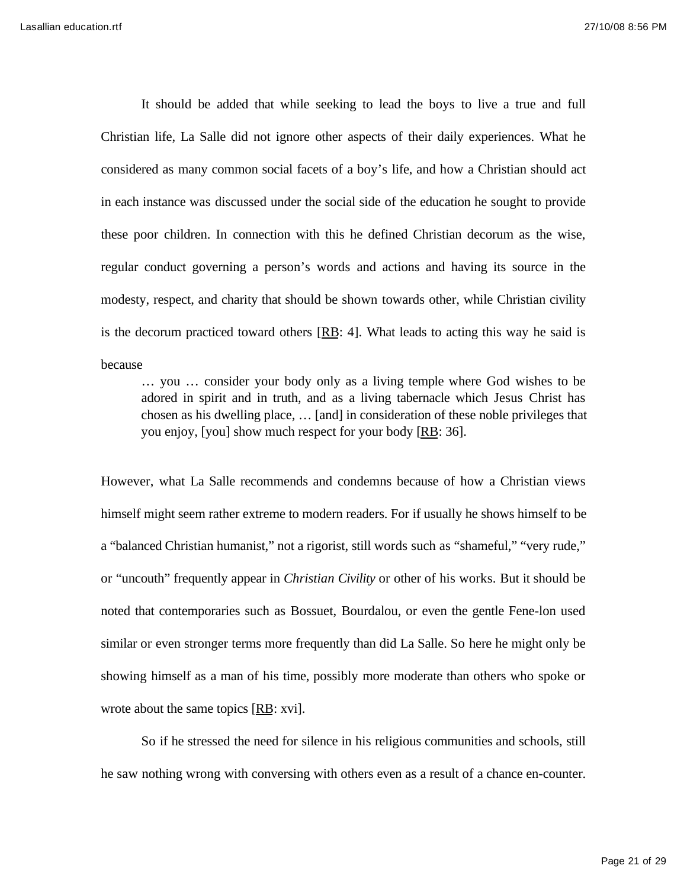It should be added that while seeking to lead the boys to live a true and full Christian life, La Salle did not ignore other aspects of their daily experiences. What he considered as many common social facets of a boy's life, and how a Christian should act in each instance was discussed under the social side of the education he sought to provide these poor children. In connection with this he defined Christian decorum as the wise, regular conduct governing a person's words and actions and having its source in the modesty, respect, and charity that should be shown towards other, while Christian civility is the decorum practiced toward others  $[RB: 4]$ . What leads to acting this way he said is because

… you … consider your body only as a living temple where God wishes to be adored in spirit and in truth, and as a living tabernacle which Jesus Christ has chosen as his dwelling place, … [and] in consideration of these noble privileges that you enjoy, [you] show much respect for your body [RB: 36].

However, what La Salle recommends and condemns because of how a Christian views himself might seem rather extreme to modern readers. For if usually he shows himself to be a "balanced Christian humanist," not a rigorist, still words such as "shameful," "very rude," or "uncouth" frequently appear in *Christian Civility* or other of his works. But it should be noted that contemporaries such as Bossuet, Bourdalou, or even the gentle Fene-lon used similar or even stronger terms more frequently than did La Salle. So here he might only be showing himself as a man of his time, possibly more moderate than others who spoke or wrote about the same topics [RB: xvi].

So if he stressed the need for silence in his religious communities and schools, still he saw nothing wrong with conversing with others even as a result of a chance en-counter.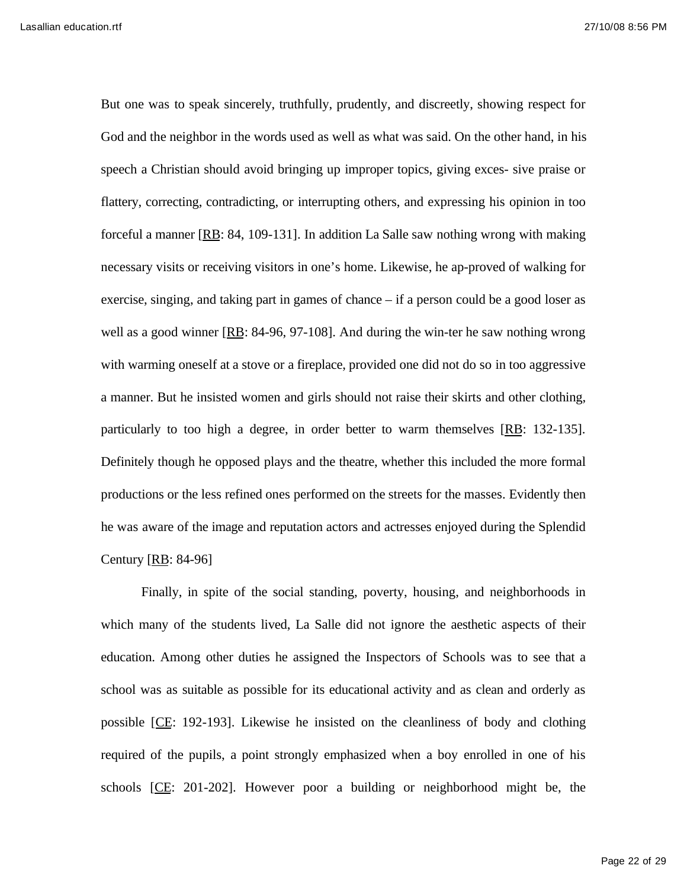But one was to speak sincerely, truthfully, prudently, and discreetly, showing respect for God and the neighbor in the words used as well as what was said. On the other hand, in his speech a Christian should avoid bringing up improper topics, giving exces- sive praise or flattery, correcting, contradicting, or interrupting others, and expressing his opinion in too forceful a manner  $[RB: 84, 109-131]$ . In addition La Salle saw nothing wrong with making necessary visits or receiving visitors in one's home. Likewise, he ap-proved of walking for exercise, singing, and taking part in games of chance – if a person could be a good loser as well as a good winner [RB: 84-96, 97-108]. And during the win-ter he saw nothing wrong with warming oneself at a stove or a fireplace, provided one did not do so in too aggressive a manner. But he insisted women and girls should not raise their skirts and other clothing, particularly to too high a degree, in order better to warm themselves [RB: 132-135]. Definitely though he opposed plays and the theatre, whether this included the more formal productions or the less refined ones performed on the streets for the masses. Evidently then he was aware of the image and reputation actors and actresses enjoyed during the Splendid Century [RB: 84-96]

Finally, in spite of the social standing, poverty, housing, and neighborhoods in which many of the students lived, La Salle did not ignore the aesthetic aspects of their education. Among other duties he assigned the Inspectors of Schools was to see that a school was as suitable as possible for its educational activity and as clean and orderly as possible [CE: 192-193]. Likewise he insisted on the cleanliness of body and clothing required of the pupils, a point strongly emphasized when a boy enrolled in one of his schools [CE: 201-202]. However poor a building or neighborhood might be, the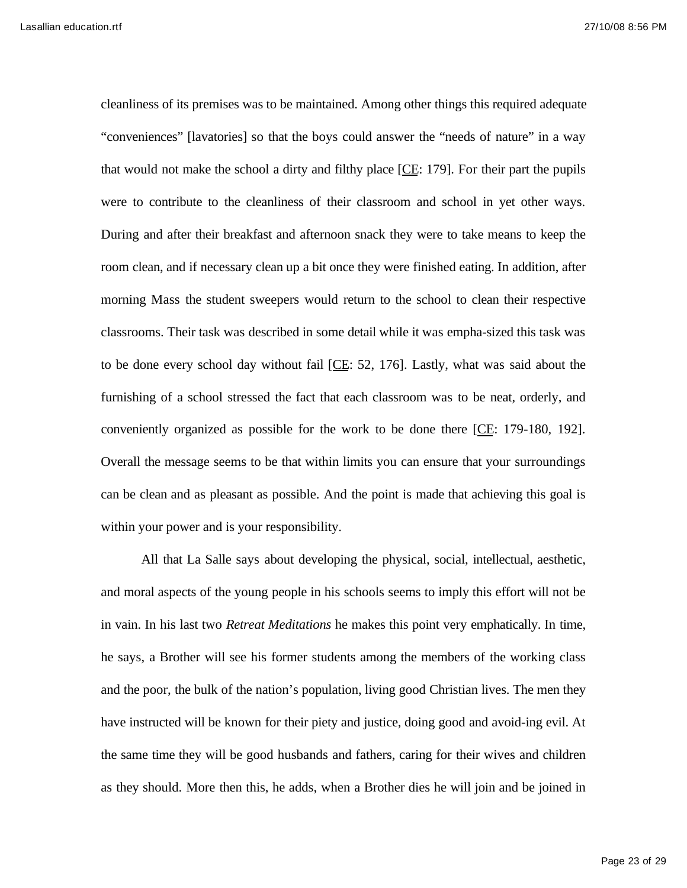cleanliness of its premises was to be maintained. Among other things this required adequate "conveniences" [lavatories] so that the boys could answer the "needs of nature" in a way that would not make the school a dirty and filthy place [CE: 179]. For their part the pupils were to contribute to the cleanliness of their classroom and school in yet other ways. During and after their breakfast and afternoon snack they were to take means to keep the room clean, and if necessary clean up a bit once they were finished eating. In addition, after morning Mass the student sweepers would return to the school to clean their respective classrooms. Their task was described in some detail while it was empha-sized this task was to be done every school day without fail [CE: 52, 176]. Lastly, what was said about the furnishing of a school stressed the fact that each classroom was to be neat, orderly, and conveniently organized as possible for the work to be done there [CE: 179-180, 192]. Overall the message seems to be that within limits you can ensure that your surroundings can be clean and as pleasant as possible. And the point is made that achieving this goal is within your power and is your responsibility.

All that La Salle says about developing the physical, social, intellectual, aesthetic, and moral aspects of the young people in his schools seems to imply this effort will not be in vain. In his last two *Retreat Meditations* he makes this point very emphatically. In time, he says, a Brother will see his former students among the members of the working class and the poor, the bulk of the nation's population, living good Christian lives. The men they have instructed will be known for their piety and justice, doing good and avoid-ing evil. At the same time they will be good husbands and fathers, caring for their wives and children as they should. More then this, he adds, when a Brother dies he will join and be joined in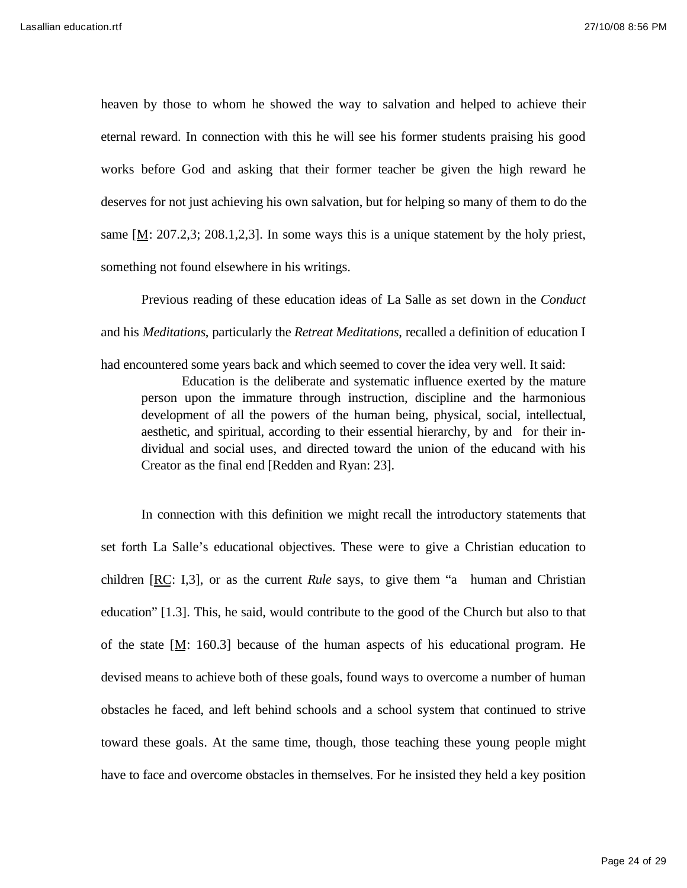heaven by those to whom he showed the way to salvation and helped to achieve their eternal reward. In connection with this he will see his former students praising his good works before God and asking that their former teacher be given the high reward he deserves for not just achieving his own salvation, but for helping so many of them to do the same  $[M: 207.2,3; 208.1,2,3]$ . In some ways this is a unique statement by the holy priest, something not found elsewhere in his writings.

Previous reading of these education ideas of La Salle as set down in the *Conduct*  and his *Meditations*, particularly the *Retreat Meditations*, recalled a definition of education I had encountered some years back and which seemed to cover the idea very well. It said:

Education is the deliberate and systematic influence exerted by the mature person upon the immature through instruction, discipline and the harmonious development of all the powers of the human being, physical, social, intellectual, aesthetic, and spiritual, according to their essential hierarchy, by and for their individual and social uses, and directed toward the union of the educand with his Creator as the final end [Redden and Ryan: 23].

In connection with this definition we might recall the introductory statements that set forth La Salle's educational objectives. These were to give a Christian education to children [RC: I,3], or as the current *Rule* says, to give them "a human and Christian education" [1.3]. This, he said, would contribute to the good of the Church but also to that of the state  $[M: 160.3]$  because of the human aspects of his educational program. He devised means to achieve both of these goals, found ways to overcome a number of human obstacles he faced, and left behind schools and a school system that continued to strive toward these goals. At the same time, though, those teaching these young people might have to face and overcome obstacles in themselves. For he insisted they held a key position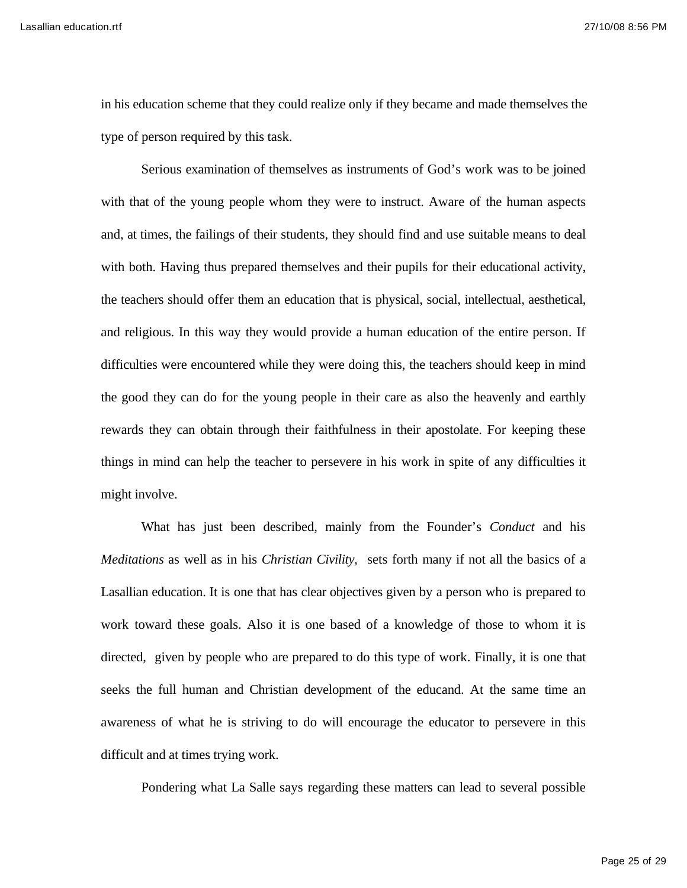Lasallian education.rtf 27/10/08 8:56 PM

in his education scheme that they could realize only if they became and made themselves the type of person required by this task.

Serious examination of themselves as instruments of God's work was to be joined with that of the young people whom they were to instruct. Aware of the human aspects and, at times, the failings of their students, they should find and use suitable means to deal with both. Having thus prepared themselves and their pupils for their educational activity, the teachers should offer them an education that is physical, social, intellectual, aesthetical, and religious. In this way they would provide a human education of the entire person. If difficulties were encountered while they were doing this, the teachers should keep in mind the good they can do for the young people in their care as also the heavenly and earthly rewards they can obtain through their faithfulness in their apostolate. For keeping these things in mind can help the teacher to persevere in his work in spite of any difficulties it might involve.

What has just been described, mainly from the Founder's *Conduct* and his *Meditations* as well as in his *Christian Civility,* sets forth many if not all the basics of a Lasallian education. It is one that has clear objectives given by a person who is prepared to work toward these goals. Also it is one based of a knowledge of those to whom it is directed, given by people who are prepared to do this type of work. Finally, it is one that seeks the full human and Christian development of the educand. At the same time an awareness of what he is striving to do will encourage the educator to persevere in this difficult and at times trying work.

Pondering what La Salle says regarding these matters can lead to several possible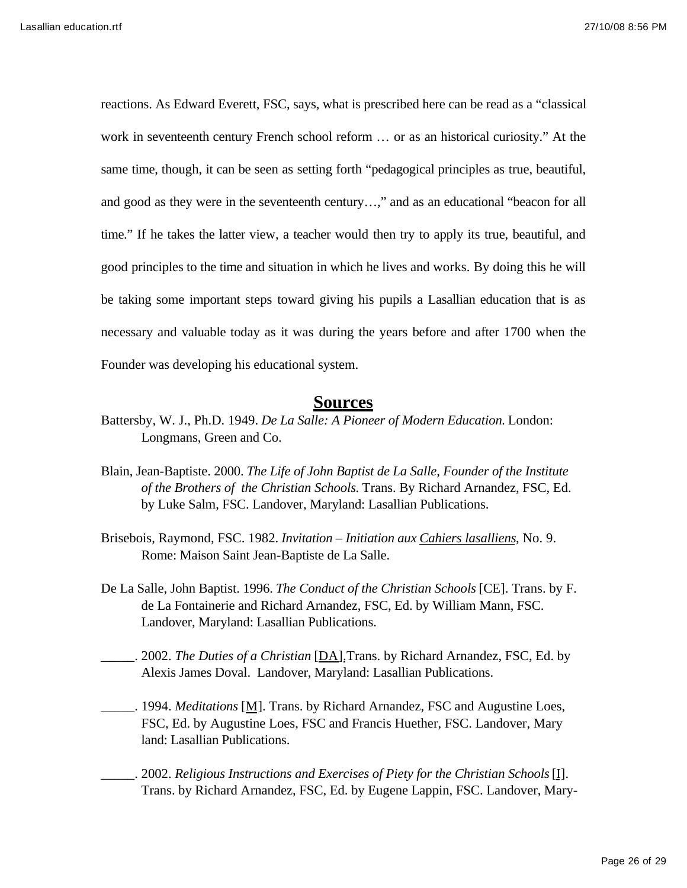reactions. As Edward Everett, FSC, says, what is prescribed here can be read as a "classical work in seventeenth century French school reform … or as an historical curiosity." At the same time, though, it can be seen as setting forth "pedagogical principles as true, beautiful, and good as they were in the seventeenth century…," and as an educational "beacon for all time." If he takes the latter view, a teacher would then try to apply its true, beautiful, and good principles to the time and situation in which he lives and works. By doing this he will be taking some important steps toward giving his pupils a Lasallian education that is as necessary and valuable today as it was during the years before and after 1700 when the Founder was developing his educational system.

## **Sources**

- Battersby, W. J., Ph.D. 1949. *De La Salle: A Pioneer of Modern Education.* London: Longmans, Green and Co.
- Blain, Jean-Baptiste. 2000. *The Life of John Baptist de La Salle, Founder of the Institute of the Brothers of the Christian Schools.* Trans. By Richard Arnandez, FSC, Ed. by Luke Salm, FSC. Landover, Maryland: Lasallian Publications.
- Brisebois, Raymond, FSC. 1982. *Invitation Initiation aux Cahiers lasalliens*, No. 9. Rome: Maison Saint Jean-Baptiste de La Salle.
- De La Salle, John Baptist. 1996. *The Conduct of the Christian Schools* [CE]. Trans. by F. de La Fontainerie and Richard Arnandez, FSC, Ed. by William Mann, FSC. Landover, Maryland: Lasallian Publications.
- \_\_\_\_\_. 2002. *The Duties of a Christian* [DA].Trans. by Richard Arnandez, FSC, Ed. by Alexis James Doval. Landover, Maryland: Lasallian Publications.
- \_\_\_\_\_. 1994. *Meditations* [M]. Trans. by Richard Arnandez, FSC and Augustine Loes, FSC, Ed. by Augustine Loes, FSC and Francis Huether, FSC. Landover, Mary land: Lasallian Publications.
- \_\_\_\_\_. 2002. *Religious Instructions and Exercises of Piety for the Christian Schools* [I]. Trans. by Richard Arnandez, FSC, Ed. by Eugene Lappin, FSC. Landover, Mary-